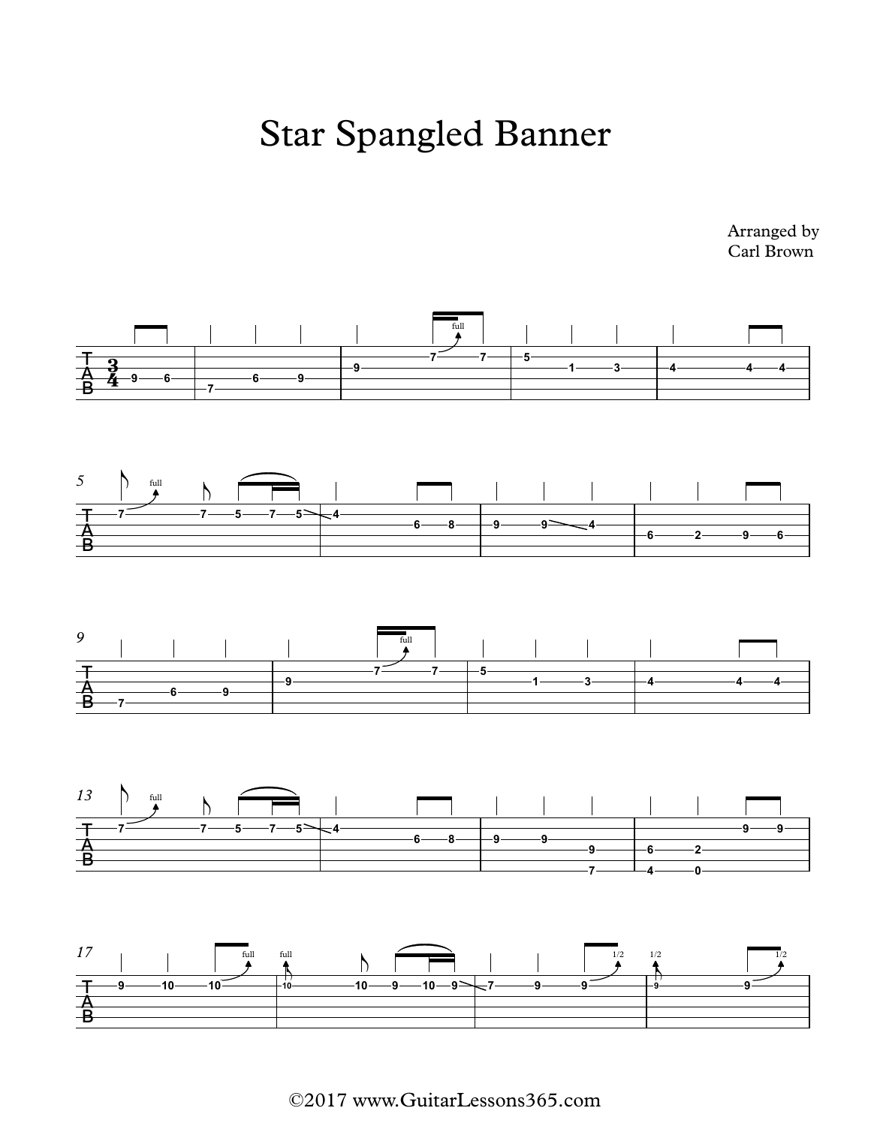## Star Spangled Banner

Arranged by Carl Brown



©2017 www.GuitarLessons365.com